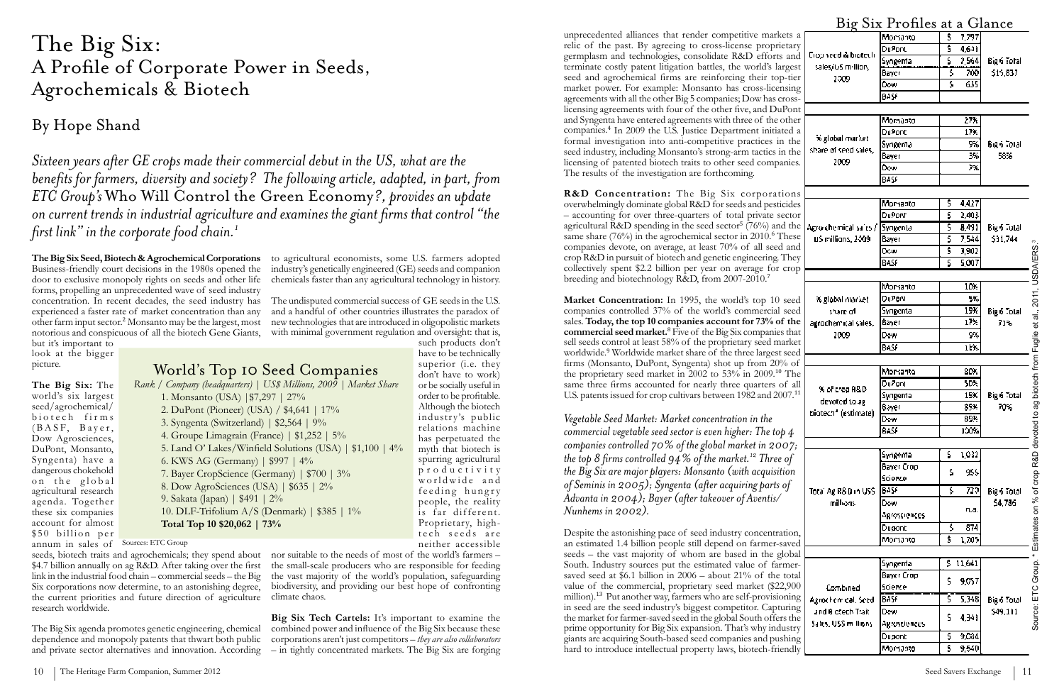### World's Top 10 Seed Companies

*Rank / Company (headquarters) | US\$ Millions, 2009 | Market Share* 1. Monsanto (USA) |\$7,297 | 27% 2. DuPont (Pioneer) (USA) / \$4,641 | 17% 3. Syngenta (Switzerland) | \$2,564 | 9% 4. Groupe Limagrain (France) | \$1,252 | 5% 5. Land O' Lakes/Winfield Solutions (USA) | \$1,100 | 4% 6. KWS AG (Germany) | \$997 | 4% 7. Bayer CropScience (Germany) | \$700 | 3% 8. Dow AgroSciences (USA) | \$635 | 2% 9. Sakata (Japan) | \$491 | 2% 10. DLF-Trifolium A/S (Denmark) | \$385 | 1% **Total Top 10 \$20,062 | 73%**

**The Big Six:** The world's six largest seed/agrochemical/ biotech firms  $(BASF, Bayer,$ Dow Agrosciences, DuPont, Monsanto, Syngenta) have a dangerous chokehold on the global agricultural research agenda. Together these six companies account for almost \$50 billion per

**The Big Six Seed, Biotech & Agrochemical Corporations** to agricultural economists, some U.S. farmers adopted Business-friendly court decisions in the 1980s opened the door to exclusive monopoly rights on seeds and other life forms, propelling an unprecedented wave of seed industry concentration. In recent decades, the seed industry has experienced a faster rate of market concentration than any other farm input sector.<sup>2</sup> Monsanto may be the largest, most notorious and conspicuous of all the biotech Gene Giants,

seeds, biotech traits and agrochemicals; they spend about nor suitable to the needs of most of the world's farmers -\$4.7 billion annually on ag R&D. After taking over the first link in the industrial food chain – commercial seeds – the Big Six corporations now determine, to an astonishing degree, the current priorities and future direction of agriculture research worldwide.

but it's important to look at the bigger picture.

The Big Six agenda promotes genetic engineering, chemical dependence and monopoly patents that thwart both public and private sector alternatives and innovation. According

industry's genetically engineered (GE) seeds and companion chemicals faster than any agricultural technology in history. unprecedented alliances that render competitive markets relic of the past. By agreeing to cross-license proprietar germplasm and technologies, consolidate R&D efforts an terminate costly patent litigation battles, the world's large seed and agrochemical firms are reinforcing their top-tie market power. For example: Monsanto has cross-licensing agreements with all the other Big 5 companies; Dow has crosslicensing agreements with four of the other five, and DuPor and Syngenta have entered agreements with three of the other companies.<sup>4</sup> In 2009 the U.S. Justice Department initiated a formal investigation into anti-competitive practices in the seed industry, including Monsanto's strong-arm tactics in the licensing of patented biotech traits to other seed companies. The results of the investigation are forthcoming.

The undisputed commercial success of GE seeds in the U.S. and a handful of other countries illustrates the paradox of new technologies that are introduced in oligopolistic markets with minimal government regulation and oversight: that is, such products don't

R&D Concentration: The Big Six corporation overwhelmingly dominate global R&D for seeds and pesticide – accounting for over three-quarters of total private sector agricultural R&D spending in the seed sector<sup>5</sup> (76%) and the same share (76%) in the agrochemical sector in 2010.<sup>6</sup> These companies devote, on average, at least 70% of all seed an crop R&D in pursuit of biotech and genetic engineering. The collectively spent \$2.2 billion per year on average for crop breeding and biotechnology R&D, from 2007-2010.<sup>7</sup>

Market Concentration: In 1995, the world's top 10 see companies controlled 37% of the world's commercial see sales. Today, the top 10 companies account for 73% of the **commercial seed market.**<sup>8</sup> Five of the Big Six companies that sell seeds control at least 58% of the proprietary seed market worldwide.<sup>9</sup> Worldwide market share of the three largest see firms (Monsanto, DuPont, Syngenta) shot up from 20% of the proprietary seed market in 2002 to  $53\%$  in 2009.<sup>10</sup> Th same three firms accounted for nearly three quarters of a U.S. patents issued for crop cultivars between 1982 and 2007.

have to be technically superior (i.e. they don't have to work) or be socially useful in order to be profitable. Although the biotech industry's public relations machine has perpetuated the myth that biotech is spurring agricultural p r o d u c t i v i t y worldwide and feeding hungry people, the reality is far different. Proprietary, hightech seeds are neither accessible

the small-scale producers who are responsible for feeding the vast majority of the world's population, safeguarding biodiversity, and providing our best hope of confronting climate chaos.

**Big Six Tech Cartels:** It's important to examine the combined power and influence of the Big Six because these corporations aren't just competitors – *they are also collaborators* – in tightly concentrated markets. The Big Six are forging

annum in sales of Sources: ETC Group

*Vegetable Seed Market: Market concentration in the commercial vegetable seed sector is even higher: The top 4 companies controlled 70% of the global market in 2007; the top 8 firms controlled 94% of the market.12 Three of the Big Six are major players: Monsanto (with acquisition of Seminis in 2005); Syngenta (after acquiring parts of Advanta in 2004); Bayer (after takeover of Aventis/ Nunhems in 2002).*

Despite the astonishing pace of seed industry concentration an estimated 1.4 billion people still depend on farmer-save  $seeds - the vast majority of whom are based in the glob$ South. Industry sources put the estimated value of farme saved seed at \$6.1 billion in 2006 – about 21% of the total value of the commercial, proprietary seed market (\$22,900) million).<sup>13</sup> Put another way, farmers who are self-provisioning in seed are the seed industry's biggest competitor. Capturing the market for farmer-saved seed in the global South offers the prime opportunity for Big Six expansion. That's why industry giants are acquiring South-based seed companies and pushing hard to introduce intellectual property laws, biotech-friendl

# The Big Six: A Profile of Corporate Power in Seeds, Agrochemicals & Biotech

## By Hope Shand

*Sixteen years after GE crops made their commercial debut in the US, what are the benefits for farmers, diversity and society? The following article, adapted, in part, from ETC Group's* Who Will Control the Green Economy*?, provides an update on current trends in industrial agriculture and examines the giant firms that control "the first link" in the corporate food chain.1*

|                      |                                         | Big Six Profiles at a Glance |                         |        |                    |  |
|----------------------|-----------------------------------------|------------------------------|-------------------------|--------|--------------------|--|
|                      |                                         | Monsanto                     | \$                      | 7,797  |                    |  |
|                      |                                         | Du9ort                       | š                       | 4,641  |                    |  |
|                      | Clop seed & biotech                     | Syngenta                     | 5                       | 2,564  | Big 6 Total        |  |
|                      | sales/US million,                       | Ваусг                        | \$                      | 700    | \$15,837           |  |
|                      | 2009                                    | Dow                          | š                       | 635    |                    |  |
|                      |                                         | <b>BASE</b>                  |                         |        |                    |  |
|                      |                                         |                              |                         |        |                    |  |
|                      |                                         | Monsanto                     |                         | 27%    |                    |  |
|                      |                                         | Du‱nt                        |                         | 17%    |                    |  |
|                      | % global market<br>share of seed sales, | Syngema                      |                         | 9%     | Big 6 Total        |  |
|                      |                                         | Bayer                        |                         | 3%     | 58%                |  |
|                      | 2009                                    | Ď⊗w                          |                         | ንጜ     |                    |  |
|                      |                                         | BAS€                         |                         |        |                    |  |
|                      |                                         |                              |                         |        |                    |  |
|                      |                                         | Monsanto                     | \$                      | 4,427  |                    |  |
|                      |                                         | Du <sup>o</sup> ont          | 5                       | 2,403  |                    |  |
|                      | Agro-chemical sales /                   | Syngenta                     | \$                      | 8,491  | Big 6 Total        |  |
|                      | US millians, 2009                       | Bayer                        | 5                       | 7,544  | \$91,744           |  |
|                      |                                         | D≫w                          | \$                      | 3,902  |                    |  |
|                      |                                         | BASF                         | š                       | 5,007  |                    |  |
|                      |                                         |                              |                         |        |                    |  |
|                      | % global market<br>share of             | Monsanto                     |                         | 10%    | Big 6 Total<br>71% |  |
|                      |                                         | DuPom                        |                         | 5%     |                    |  |
|                      |                                         | Syngenta                     |                         | 19%    |                    |  |
|                      | agrochemical sales,                     | Bayer                        |                         | 17%    |                    |  |
|                      | 2009                                    | Dew                          |                         | 9%     |                    |  |
|                      |                                         | BASF                         |                         | 11%    |                    |  |
|                      |                                         |                              |                         |        |                    |  |
|                      | % of crop A&D.                          | Morsanto                     |                         | 80X    | Big 6 Total<br>70% |  |
|                      |                                         | Du2oni                       |                         | 50%    |                    |  |
|                      | devoted to ag                           | Syngenta                     |                         | 15%    |                    |  |
|                      | biotech <sup>®</sup> (estimate)         | Bayer                        |                         | 85%    |                    |  |
|                      |                                         | Dow                          |                         | 85%    |                    |  |
|                      |                                         | 2.8                          |                         | 100%   |                    |  |
|                      |                                         |                              |                         |        |                    |  |
|                      |                                         | Syngenta                     | 5                       | 1,032  |                    |  |
|                      |                                         | Bayer Crop                   | \$                      | 955    |                    |  |
|                      |                                         | Science                      |                         |        |                    |  |
| Total Ag R&D in US\$ |                                         | BASE                         | 5                       | 720    | Big 6 Total        |  |
|                      | millions                                | Dow                          |                         | п.а.   | \$4,786            |  |
|                      |                                         | Agrosciences                 |                         |        |                    |  |
|                      |                                         | Dugont                       | \$                      | 874    |                    |  |
|                      |                                         | Morsanto                     | \$                      | 1,705  |                    |  |
|                      |                                         |                              |                         |        |                    |  |
|                      |                                         | Syngenta                     | \$                      | 11,641 |                    |  |
|                      |                                         | Bayer Crop                   | \$                      | 9,057  |                    |  |
|                      | Combined                                | Science                      |                         |        |                    |  |
|                      | Agrochemical, Seed                      | BASE                         | ς                       | 5,348  | Big 6 Total        |  |
|                      | and 8 otech Trait                       | Dow                          | Ŝ                       | 4,341  | \$49,111           |  |
|                      | Sales, US\$ millions                    | Agrosciences                 |                         |        |                    |  |
|                      |                                         | Dugont                       | Ş                       | 9,084  |                    |  |
|                      |                                         | Monsabto                     | $\overline{\mathbf{s}}$ | 9,540  |                    |  |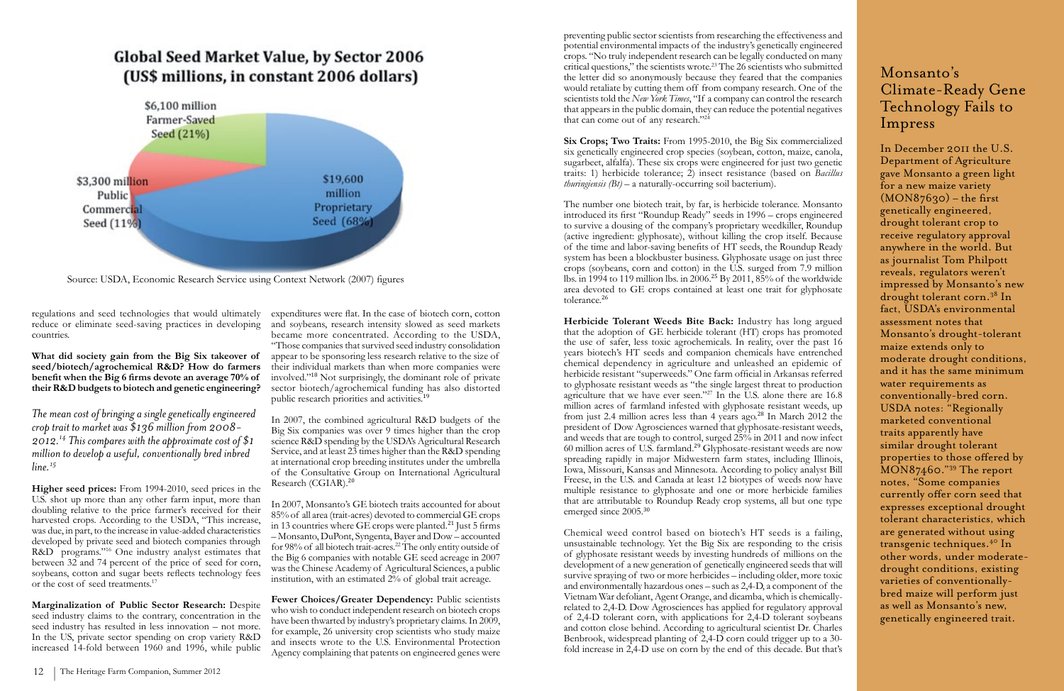regulations and seed technologies that would ultimately reduce or eliminate seed-saving practices in developing countries.

**What did society gain from the Big Six takeover of seed/biotech/agrochemical R&D? How do farmers benefit when the Big 6 firms devote an average 70% of their R&D budgets to biotech and genetic engineering?** 

*The mean cost of bringing a single genetically engineered crop trait to market was \$136 million from 2008- 2012.14 This compares with the approximate cost of \$1 million to develop a useful, conventionally bred inbred line.15*

**Higher seed prices:** From 1994-2010, seed prices in the U.S. shot up more than any other farm input, more than doubling relative to the price farmer's received for their harvested crops. According to the USDA, "This increase, was due, in part, to the increase in value-added characteristics developed by private seed and biotech companies through R&D programs."16 One industry analyst estimates that between 32 and 74 percent of the price of seed for corn, soybeans, cotton and sugar beets reflects technology fees or the cost of seed treatments.17

**Marginalization of Public Sector Research:** Despite seed industry claims to the contrary, concentration in the seed industry has resulted in less innovation – not more. In the US, private sector spending on crop variety R&D increased 14-fold between 1960 and 1996, while public

Fewer Choices/Greater Dependency: Public scientists who wish to conduct independent research on biotech crops have been thwarted by industry's proprietary claims. In 2009, for example, 26 university crop scientists who study maize and insects wrote to the U.S. Environmental Protection Agency complaining that patents on engineered genes were

preventing public sector scientists from researching the effectiveness and potential environmental impacts of the industry's genetically engineered crops. "No truly independent research can be legally conducted on many critical questions," the scientists wrote.23 The 26 scientists who submitted the letter did so anonymously because they feared that the companies would retaliate by cutting them off from company research. One of the scientists told the *New York Times*, "If a company can control the research that appears in the public domain, they can reduce the potential negatives that can come out of any research."<sup>24</sup>

expenditures were flat. In the case of biotech corn, cotton and soybeans, research intensity slowed as seed markets became more concentrated. According to the USDA, "Those companies that survived seed industry consolidation appear to be sponsoring less research relative to the size of their individual markets than when more companies were involved."18 Not surprisingly, the dominant role of private sector biotech/agrochemical funding has also distorted public research priorities and activities.<sup>19</sup>

The number one biotech trait, by far, is herbicide tolerance. Monsanto introduced its first "Roundup Ready" seeds in 1996 – crops engineered to survive a dousing of the company's proprietary weedkiller, Roundup (active ingredient: glyphosate), without killing the crop itself. Because of the time and labor-saving benefits of HT seeds, the Roundup Ready system has been a blockbuster business. Glyphosate usage on just three crops (soybeans, corn and cotton) in the U.S. surged from 7.9 million lbs. in 1994 to 119 million lbs. in 2006.25 By 2011, 85% of the worldwide area devoted to GE crops contained at least one trait for glyphosate tolerance.<sup>26</sup>

In 2007, the combined agricultural R&D budgets of the Big Six companies was over 9 times higher than the crop science R&D spending by the USDA's Agricultural Research Service, and at least 23 times higher than the R&D spending at international crop breeding institutes under the umbrella of the Consultative Group on International Agricultural Research (CGIAR).<sup>20</sup>

In 2007, Monsanto's GE biotech traits accounted for about 85% of all area (trait-acres) devoted to commercial GE crops in 13 countries where GE crops were planted.<sup>21</sup> Just 5 firms – Monsanto, DuPont, Syngenta, Bayer and Dow – accounted for 98% of all biotech trait-acres.<sup>22</sup> The only entity outside of the Big 6 companies with notable GE seed acreage in 2007 was the Chinese Academy of Agricultural Sciences, a public institution, with an estimated 2% of global trait acreage.

**Six Crops; Two Traits:** From 1995-2010, the Big Six commercialized six genetically engineered crop species (soybean, cotton, maize, canola, sugarbeet, alfalfa). These six crops were engineered for just two genetic traits: 1) herbicide tolerance; 2) insect resistance (based on *Bacillus thuringiensis (Bt)* – a naturally-occurring soil bacterium).

**Herbicide Tolerant Weeds Bite Back:** Industry has long argued that the adoption of GE herbicide tolerant (HT) crops has promoted the use of safer, less toxic agrochemicals. In reality, over the past 16 years biotech's HT seeds and companion chemicals have entrenched chemical dependency in agriculture and unleashed an epidemic of herbicide resistant "superweeds." One farm official in Arkansas referred to glyphosate resistant weeds as "the single largest threat to production agriculture that we have ever seen."<sup>27</sup> In the U.S. alone there are 16.8 million acres of farmland infested with glyphosate resistant weeds, up from just 2.4 million acres less than 4 years ago.28 In March 2012 the president of Dow Agrosciences warned that glyphosate-resistant weeds, and weeds that are tough to control, surged 25% in 2011 and now infect 60 million acres of U.S. farmland.29 Glyphosate-resistant weeds are now spreading rapidly in major Midwestern farm states, including Illinois, Iowa, Missouri, Kansas and Minnesota. According to policy analyst Bill Freese, in the U.S. and Canada at least 12 biotypes of weeds now have multiple resistance to glyphosate and one or more herbicide families that are attributable to Roundup Ready crop systems, all but one type emerged since 2005.<sup>30</sup>

Chemical weed control based on biotech's HT seeds is a failing, unsustainable technology. Yet the Big Six are responding to the crisis of glyphosate resistant weeds by investing hundreds of millions on the development of a new generation of genetically engineered seeds that will survive spraying of two or more herbicides – including older, more toxic and environmentally hazardous ones – such as 2,4-D, a component of the Vietnam War defoliant, Agent Orange, and dicamba, which is chemicallyrelated to 2,4-D. Dow Agrosciences has applied for regulatory approval of 2,4-D tolerant corn, with applications for 2,4-D tolerant soybeans and cotton close behind. According to agricultural scientist Dr. Charles Benbrook, widespread planting of 2,4-D corn could trigger up to a 30 fold increase in 2,4-D use on corn by the end of this decade. But that's

#### Monsanto's Climate-Ready Gene Technology Fails to Impress

In December 2011 the U.S. Department of Agriculture gave Monsanto a green light for a new maize variety  $(MON87630)$  – the first genetically engineered, drought tolerant crop to receive regulatory approval anywhere in the world. But as journalist Tom Philpott reveals, regulators weren't impressed by Monsanto's new drought tolerant corn.38 In fact, USDA's environmental assessment notes that Monsanto's drought-tolerant maize extends only to moderate drought conditions, and it has the same minimum water requirements as conventionally-bred corn. USDA notes: "Regionally marketed conventional traits apparently have similar drought tolerant properties to those offered by MON87460."39 The report notes, "Some companies currently offer corn seed that expresses exceptional drought tolerant characteristics, which are generated without using transgenic techniques.40 In other words, under moderatedrought conditions, existing varieties of conventionallybred maize will perform just as well as Monsanto's new, genetically engineered trait.

# **Global Seed Market Value, by Sector 2006** (US\$ millions, in constant 2006 dollars)



Source: USDA, Economic Research Service using Context Network (2007) figures